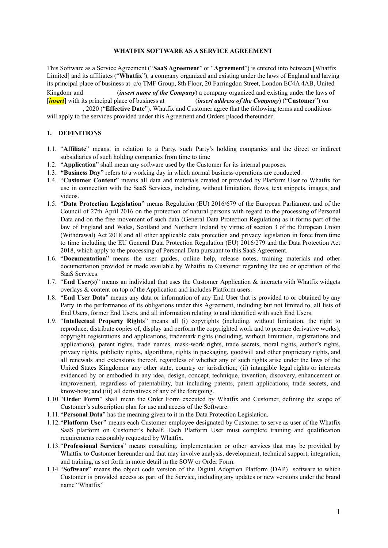### **WHATFIX SOFTWARE AS A SERVICE AGREEMENT**

This Software as a Service Agreement ("**SaaS Agreement**" or "**Agreement**") is entered into between [Whatfix Limited] and its affiliates ("**Whatfix**"), a company organized and existing under the laws of England and having its principal place of business at c/o TMF Group, 8th Floor, 20 Farringdon Street, London EC4A 4AB, United Kingdom and \_\_\_\_\_\_\_\_\_\_(*insert name of the Company*) a company organized and existing under the laws of [*insert*] with its principal place of business at \_\_\_\_\_\_\_\_\_(*insert address of the Company*) ("**Customer**") on

\_\_\_\_\_\_\_\_\_\_\_, 2020 ("**Effective Date**"). Whatfix and Customer agree that the following terms and conditions will apply to the services provided under this Agreement and Orders placed thereunder.

### **1. DEFINITIONS**

- 1.1. "**Affiliate**" means, in relation to a Party, such Party's holding companies and the direct or indirect subsidiaries of such holding companies from time to time
- 1.2. "**Application**" shall mean any software used by the Customer for its internal purposes.
- 1.3. **"Business Day"** refers to a working day in which normal business operations are conducted.
- 1.4. "**Customer Content**" means all data and materials created or provided by Platform User to Whatfix for use in connection with the SaaS Services, including, without limitation, flows, text snippets, images, and videos.
- 1.5. "**Data Protection Legislation**" means Regulation (EU) 2016/679 of the European Parliament and of the Council of 27th April 2016 on the protection of natural persons with regard to the processing of Personal Data and on the free movement of such data (General Data Protection Regulation) as it forms part of the law of England and Wales, Scotland and Northern Ireland by virtue of section 3 of the European Union (Withdrawal) Act 2018 and all other applicable data protection and privacy legislation in force from time to time including the EU General Data Protection Regulation (EU) 2016/279 and the Data Protection Act 2018, which apply to the processing of Personal Data pursuant to this SaaS Agreement.
- 1.6. "**Documentation**" means the user guides, online help, release notes, training materials and other documentation provided or made available by Whatfix to Customer regarding the use or operation of the SaaS Services.
- 1.7. "**End User(s)**" means an individual that uses the Customer Application & interacts with Whatfix widgets overlays & content on top of the Application and includes Platform users.
- 1.8. "**End User Data**" means any data or information of any End User that is provided to or obtained by any Party in the performance of its obligations under this Agreement, including but not limited to, all lists of End Users, former End Users, and all information relating to and identified with such End Users.
- 1.9. "**Intellectual Property Rights**" means all (i) copyrights (including, without limitation, the right to reproduce, distribute copies of, display and perform the copyrighted work and to prepare derivative works), copyright registrations and applications, trademark rights (including, without limitation, registrations and applications), patent rights, trade names, mask-work rights, trade secrets, moral rights, author's rights, privacy rights, publicity rights, algorithms, rights in packaging, goodwill and other proprietary rights, and all renewals and extensions thereof, regardless of whether any of such rights arise under the laws of the United States Kingdomor any other state, country or jurisdiction; (ii) intangible legal rights or interests evidenced by or embodied in any idea, design, concept, technique, invention, discovery, enhancement or improvement, regardless of patentability, but including patents, patent applications, trade secrets, and know-how; and (iii) all derivatives of any of the foregoing.
- 1.10."**Order Form**" shall mean the Order Form executed by Whatfix and Customer, defining the scope of Customer's subscription plan for use and access of the Software.
- 1.11. "**Personal Data**" has the meaning given to it in the Data Protection Legislation.
- 1.12."**Platform User**" means each Customer employee designated by Customer to serve as user of the Whatfix SaaS platform on Customer's behalf. Each Platform User must complete training and qualification requirements reasonably requested by Whatfix.
- 1.13."**Professional Services**" means consulting, implementation or other services that may be provided by Whatfix to Customer hereunder and that may involve analysis, development, technical support, integration, and training, as set forth in more detail in the SOW or Order Form.
- 1.14."**Software**" means the object code version of the Digital Adoption Platform (DAP) software to which Customer is provided access as part of the Service, including any updates or new versions under the brand name "Whatfix"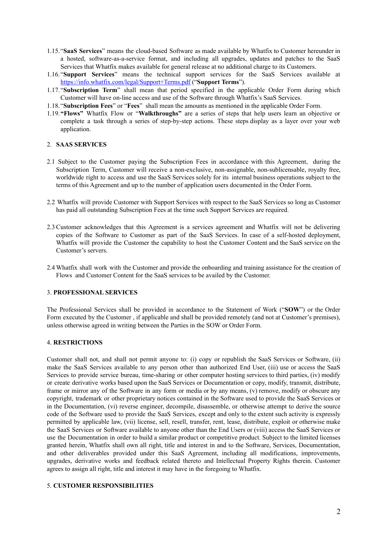- 1.15."**SaaS Services**" means the cloud-based Software as made available by Whatfix to Customer hereunder in a hosted, software-as-a-service format, and including all upgrades, updates and patches to the SaaS Services that Whatfix makes available for general release at no additional charge to its Customers.
- 1.16."**Support Services**" means the technical support services for the SaaS Services available at <https://info.whatfix.com/legal/Support+Terms.pdf> ("**Support Terms**").
- 1.17."**Subscription Term**" shall mean that period specified in the applicable Order Form during which Customer will have on-line access and use of the Software through Whatfix's SaaS Services.
- 1.18."**Subscription Fees**" or "**Fees**" shall mean the amounts as mentioned in the applicable Order Form.
- 1.19.**"Flows"** Whatfix Flow or "**Walkthroughs"** are a series of steps that help users learn an objective or complete a task through a series of step-by-step actions. These steps display as a layer over your web application.

#### 2. **SAAS SERVICES**

- 2.1 Subject to the Customer paying the Subscription Fees in accordance with this Agreement, during the Subscription Term, Customer will receive a non-exclusive, non-assignable, non-sublicensable, royalty free, worldwide right to access and use the SaaS Services solely for its internal business operations subject to the terms of this Agreement and up to the number of application users documented in the Order Form.
- 2.2 Whatfix will provide Customer with Support Services with respect to the SaaS Services so long as Customer has paid all outstanding Subscription Fees at the time such Support Services are required.
- 2.3 Customer acknowledges that this Agreement is a services agreement and Whatfix will not be delivering copies of the Software to Customer as part of the SaaS Services. In case of a self-hosted deployment, Whatfix will provide the Customer the capability to host the Customer Content and the SaaS service on the Customer's servers.
- 2.4 Whatfix shall work with the Customer and provide the onboarding and training assistance for the creation of Flows and Customer Content for the SaaS services to be availed by the Customer.

#### 3. **PROFESSIONAL SERVICES**

The Professional Services shall be provided in accordance to the Statement of Work ("**SOW**") or the Order Form executed by the Customer , if applicable and shall be provided remotely (and not at Customer's premises), unless otherwise agreed in writing between the Parties in the SOW or Order Form.

#### 4. **RESTRICTIONS**

Customer shall not, and shall not permit anyone to: (i) copy or republish the SaaS Services or Software, (ii) make the SaaS Services available to any person other than authorized End User, (iii) use or access the SaaS Services to provide service bureau, time-sharing or other computer hosting services to third parties, (iv) modify or create derivative works based upon the SaaS Services or Documentation or copy, modify, transmit, distribute, frame or mirror any of the Software in any form or media or by any means, (v) remove, modify or obscure any copyright, trademark or other proprietary notices contained in the Software used to provide the SaaS Services or in the Documentation, (vi) reverse engineer, decompile, disassemble, or otherwise attempt to derive the source code of the Software used to provide the SaaS Services, except and only to the extent such activity is expressly permitted by applicable law, (vii) license, sell, resell, transfer, rent, lease, distribute, exploit or otherwise make the SaaS Services or Software available to anyone other than the End Users or (viii) access the SaaS Services or use the Documentation in order to build a similar product or competitive product. Subject to the limited licenses granted herein, Whatfix shall own all right, title and interest in and to the Software, Services, Documentation, and other deliverables provided under this SaaS Agreement, including all modifications, improvements, upgrades, derivative works and feedback related thereto and Intellectual Property Rights therein. Customer agrees to assign all right, title and interest it may have in the foregoing to Whatfix.

#### 5. **CUSTOMER RESPONSIBILITIES**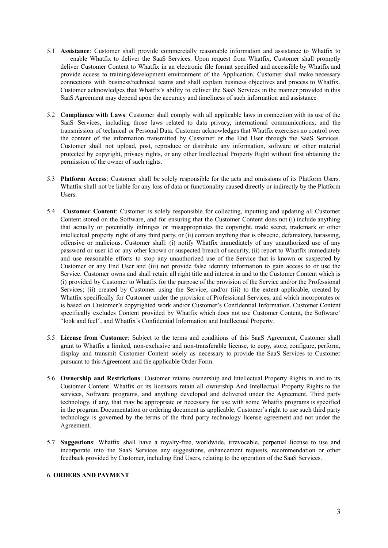- 5.1 **Assistance**: Customer shall provide commercially reasonable information and assistance to Whatfix to enable Whatfix to deliver the SaaS Services. Upon request from Whatfix, Customer shall promptly deliver Customer Content to Whatfix in an electronic file format specified and accessible by Whatfix and provide access to training/development environment of the Application, Customer shall make necessary connections with business/technical teams and shall explain business objectives and process to Whatfix. Customer acknowledges that Whatfix's ability to deliver the SaaS Services in the manner provided in this SaaS Agreement may depend upon the accuracy and timeliness of such information and assistance
- 5.2 **Compliance with Laws**: Customer shall comply with all applicable laws in connection with its use of the SaaS Services, including those laws related to data privacy, international communications, and the transmission of technical or Personal Data. Customer acknowledges that Whatfix exercises no control over the content of the information transmitted by Customer or the End User through the SaaS Services. Customer shall not upload, post, reproduce or distribute any information, software or other material protected by copyright, privacy rights, or any other Intellectual Property Right without first obtaining the permission of the owner of such rights.
- 5.3 **Platform Access**: Customer shall be solely responsible for the acts and omissions of its Platform Users. Whatfix shall not be liable for any loss of data or functionality caused directly or indirectly by the Platform Users.
- 5.4 **Customer Content**: Customer is solely responsible for collecting, inputting and updating all Customer Content stored on the Software, and for ensuring that the Customer Content does not (i) include anything that actually or potentially infringes or misappropriates the copyright, trade secret, trademark or other intellectual property right of any third party, or (ii) contain anything that is obscene, defamatory, harassing, offensive or malicious. Customer shall: (i) notify Whatfix immediately of any unauthorized use of any password or user id or any other known or suspected breach of security, (ii) report to Whatfix immediately and use reasonable efforts to stop any unauthorized use of the Service that is known or suspected by Customer or any End User and (iii) not provide false identity information to gain access to or use the Service. Customer owns and shall retain all right title and interest in and to the Customer Content which is (i) provided by Customer to Whatfix for the purpose of the provision of the Service and/or the Professional Services; (ii) created by Customer using the Service; and/or (iii) to the extent applicable, created by Whatfix specifically for Customer under the provision of Professional Services, and which incorporates or is based on Customer's copyrighted work and/or Customer's Confidential Information. Customer Content specifically excludes Content provided by Whatfix which does not use Customer Content, the Software' "look and feel", and Whatfix's Confidential Information and Intellectual Property.
- 5.5 **License from Customer**: Subject to the terms and conditions of this SaaS Agreement, Customer shall grant to Whatfix a limited, non-exclusive and non-transferable license, to copy, store, configure, perform, display and transmit Customer Content solely as necessary to provide the SaaS Services to Customer pursuant to this Agreement and the applicable Order Form.
- 5.6 **Ownership and Restrictions**: Customer retains ownership and Intellectual Property Rights in and to its Customer Content. Whatfix or its licensors retain all ownership And Intellectual Property Rights to the services, Software programs, and anything developed and delivered under the Agreement. Third party technology, if any, that may be appropriate or necessary for use with some Whatfix programs is specified in the program Documentation or ordering document as applicable. Customer's right to use such third party technology is governed by the terms of the third party technology license agreement and not under the Agreement.
- 5.7 **Suggestions**: Whatfix shall have a royalty-free, worldwide, irrevocable, perpetual license to use and incorporate into the SaaS Services any suggestions, enhancement requests, recommendation or other feedback provided by Customer, including End Users, relating to the operation of the SaaS Services.

### 6. **ORDERS AND PAYMENT**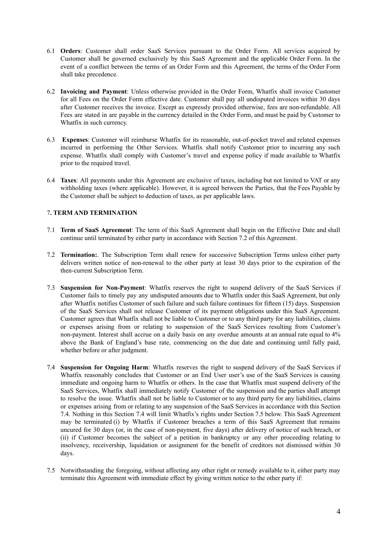- 6.1 **Orders**: Customer shall order SaaS Services pursuant to the Order Form. All services acquired by Customer shall be governed exclusively by this SaaS Agreement and the applicable Order Form. In the event of a conflict between the terms of an Order Form and this Agreement, the terms of the Order Form shall take precedence.
- 6.2 **Invoicing and Payment**: Unless otherwise provided in the Order Form, Whatfix shall invoice Customer for all Fees on the Order Form effective date. Customer shall pay all undisputed invoices within 30 days after Customer receives the invoice. Except as expressly provided otherwise, fees are non-refundable. All Fees are stated in are payable in the currency detailed in the Order Form, and must be paid by Customer to Whatfix in such currency.
- 6.3 **Expenses**: Customer will reimburse Whatfix for its reasonable, out-of-pocket travel and related expenses incurred in performing the Other Services. Whatfix shall notify Customer prior to incurring any such expense. Whatfix shall comply with Customer's travel and expense policy if made available to Whatfix prior to the required travel.
- 6.4 **Taxes**: All payments under this Agreement are exclusive of taxes, including but not limited to VAT or any withholding taxes (where applicable). However, it is agreed between the Parties, that the Fees Payable by the Customer shall be subject to deduction of taxes, as per applicable laws.

# 7**. TERM AND TERMINATION**

- 7.1 **Term of SaaS Agreement**: The term of this SaaS Agreement shall begin on the Effective Date and shall continue until terminated by either party in accordance with Section 7.2 of this Agreement.
- 7.2 **Termination:**. The Subscription Term shall renew for successive Subscription Terms unless either party delivers written notice of non-renewal to the other party at least 30 days prior to the expiration of the then-current Subscription Term.
- 7.3 **Suspension for Non-Payment**: Whatfix reserves the right to suspend delivery of the SaaS Services if Customer fails to timely pay any undisputed amounts due to Whatfix under this SaaS Agreement, but only after Whatfix notifies Customer of such failure and such failure continues for fifteen (15) days. Suspension of the SaaS Services shall not release Customer of its payment obligations under this SaaS Agreement. Customer agrees that Whatfix shall not be liable to Customer or to any third party for any liabilities, claims or expenses arising from or relating to suspension of the SaaS Services resulting from Customer's non-payment. Interest shall accrue on a daily basis on any overdue amounts at an annual rate equal to 4% above the Bank of England's base rate, commencing on the due date and continuing until fully paid, whether before or after judgment.
- 7.4 **Suspension for Ongoing Harm**: Whatfix reserves the right to suspend delivery of the SaaS Services if Whatfix reasonably concludes that Customer or an End User user's use of the SaaS Services is causing immediate and ongoing harm to Whatfix or others. In the case that Whatfix must suspend delivery of the SaaS Services, Whatfix shall immediately notify Customer of the suspension and the parties shall attempt to resolve the issue. Whatfix shall not be liable to Customer or to any third party for any liabilities, claims or expenses arising from or relating to any suspension of the SaaS Services in accordance with this Section 7.4. Nothing in this Section 7.4 will limit Whatfix's rights under Section 7.5 below. This SaaS Agreement may be terminated (i) by Whatfix if Customer breaches a term of this SaaS Agreement that remains uncured for 30 days (or, in the case of non-payment, five days) after delivery of notice of such breach, or (ii) if Customer becomes the subject of a petition in bankruptcy or any other proceeding relating to insolvency, receivership, liquidation or assignment for the benefit of creditors not dismissed within 30 days.
- 7.5 Notwithstanding the foregoing, without affecting any other right or remedy available to it, either party may terminate this Agreement with immediate effect by giving written notice to the other party if: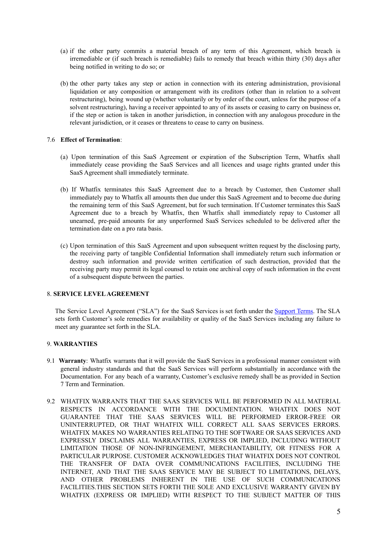- (a) if the other party commits a material breach of any term of this Agreement, which breach is irremediable or (if such breach is remediable) fails to remedy that breach within thirty (30) days after being notified in writing to do so; or
- (b) the other party takes any step or action in connection with its entering administration, provisional liquidation or any composition or arrangement with its creditors (other than in relation to a solvent restructuring), being wound up (whether voluntarily or by order of the court, unless for the purpose of a solvent restructuring), having a receiver appointed to any of its assets or ceasing to carry on business or, if the step or action is taken in another jurisdiction, in connection with any analogous procedure in the relevant jurisdiction, or it ceases or threatens to cease to carry on business.

# 7.6 **Effect of Termination**:

- (a) Upon termination of this SaaS Agreement or expiration of the Subscription Term, Whatfix shall immediately cease providing the SaaS Services and all licences and usage rights granted under this SaaS Agreement shall immediately terminate.
- (b) If Whatfix terminates this SaaS Agreement due to a breach by Customer, then Customer shall immediately pay to Whatfix all amounts then due under this SaaS Agreement and to become due during the remaining term of this SaaS Agreement, but for such termination. If Customer terminates this SaaS Agreement due to a breach by Whatfix, then Whatfix shall immediately repay to Customer all unearned, pre-paid amounts for any unperformed SaaS Services scheduled to be delivered after the termination date on a pro rata basis.
- (c) Upon termination of this SaaS Agreement and upon subsequent written request by the disclosing party, the receiving party of tangible Confidential Information shall immediately return such information or destroy such information and provide written certification of such destruction, provided that the receiving party may permit its legal counsel to retain one archival copy of such information in the event of a subsequent dispute between the parties.

# 8. **SERVICE LEVELAGREEMENT**

The Service Level Agreement ("SLA") for the SaaS Services is set forth under the [Support](https://info.whatfix.com/legal/Support+Terms.pdf) Terms. The SLA sets forth Customer's sole remedies for availability or quality of the SaaS Services including any failure to meet any guarantee set forth in the SLA.

### 9. **WARRANTIES**

- 9.1 **Warranty**: Whatfix warrants that it will provide the SaaS Services in a professional manner consistent with general industry standards and that the SaaS Services will perform substantially in accordance with the Documentation. For any beach of a warranty, Customer's exclusive remedy shall be as provided in Section 7 Term and Termination.
- 9.2 WHATFIX WARRANTS THAT THE SAAS SERVICES WILL BE PERFORMED IN ALL MATERIAL RESPECTS IN ACCORDANCE WITH THE DOCUMENTATION. WHATFIX DOES NOT GUARANTEE THAT THE SAAS SERVICES WILL BE PERFORMED ERROR-FREE OR UNINTERRUPTED, OR THAT WHATFIX WILL CORRECT ALL SAAS SERVICES ERRORS. WHATFIX MAKES NO WARRANTIES RELATING TO THE SOFTWARE OR SAAS SERVICES AND EXPRESSLY DISCLAIMS ALL WARRANTIES, EXPRESS OR IMPLIED, INCLUDING WITHOUT LIMITATION THOSE OF NON-INFRINGEMENT, MERCHANTABILITY, OR FITNESS FOR A PARTICULAR PURPOSE. CUSTOMER ACKNOWLEDGES THAT WHATFIX DOES NOT CONTROL THE TRANSFER OF DATA OVER COMMUNICATIONS FACILITIES, INCLUDING THE INTERNET, AND THAT THE SAAS SERVICE MAY BE SUBJECT TO LIMITATIONS, DELAYS, AND OTHER PROBLEMS INHERENT IN THE USE OF SUCH COMMUNICATIONS FACILITIES.THIS SECTION SETS FORTH THE SOLE AND EXCLUSIVE WARRANTY GIVEN BY WHATFIX (EXPRESS OR IMPLIED) WITH RESPECT TO THE SUBJECT MATTER OF THIS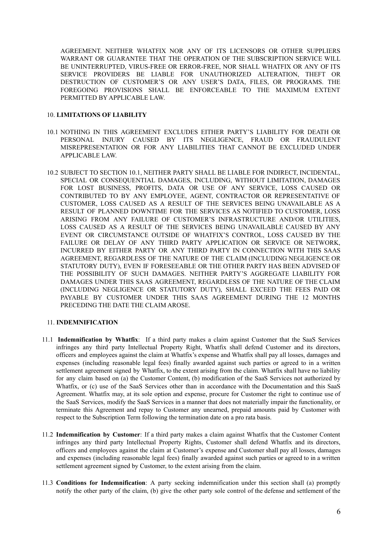AGREEMENT. NEITHER WHATFIX NOR ANY OF ITS LICENSORS OR OTHER SUPPLIERS WARRANT OR GUARANTEE THAT THE OPERATION OF THE SUBSCRIPTION SERVICE WILL BE UNINTERRUPTED, VIRUS-FREE OR ERROR-FREE, NOR SHALL WHATFIX OR ANY OF ITS SERVICE PROVIDERS BE LIABLE FOR UNAUTHORIZED ALTERATION, THEFT OR DESTRUCTION OF CUSTOMER'S OR ANY USER'S DATA, FILES, OR PROGRAMS. THE FOREGOING PROVISIONS SHALL BE ENFORCEABLE TO THE MAXIMUM EXTENT PERMITTED BY APPLICABLE LAW.

#### 10. **LIMITATIONS OF LIABILITY**

- 10.1 NOTHING IN THIS AGREEMENT EXCLUDES EITHER PARTY'S LIABILITY FOR DEATH OR PERSONAL INJURY CAUSED BY ITS NEGLIGENCE, FRAUD OR FRAUDULENT MISREPRESENTATION OR FOR ANY LIABILITIES THAT CANNOT BE EXCLUDED UNDER APPLICABLE LAW.
- 10.2 SUBJECT TO SECTION 10.1, NEITHER PARTY SHALL BE LIABLE FOR INDIRECT, INCIDENTAL, SPECIAL OR CONSEQUENTIAL DAMAGES, INCLUDING, WITHOUT LIMITATION, DAMAGES FOR LOST BUSINESS, PROFITS, DATA OR USE OF ANY SERVICE, LOSS CAUSED OR CONTRIBUTED TO BY ANY EMPLOYEE, AGENT, CONTRACTOR OR REPRESENTATIVE OF CUSTOMER, LOSS CAUSED AS A RESULT OF THE SERVICES BEING UNAVAILABLE AS A RESULT OF PLANNED DOWNTIME FOR THE SERVICES AS NOTIFIED TO CUSTOMER, LOSS ARISING FROM ANY FAILURE OF CUSTOMER'S INFRASTRUCTURE AND/OR UTILITIES, LOSS CAUSED AS A RESULT OF THE SERVICES BEING UNAVAILABLE CAUSED BY ANY EVENT OR CIRCUMSTANCE OUTSIDE OF WHATFIX'S CONTROL, LOSS CAUSED BY THE FAILURE OR DELAY OF ANY THIRD PARTY APPLICATION OR SERVICE OR NETWORK, INCURRED BY EITHER PARTY OR ANY THIRD PARTY IN CONNECTION WITH THIS SAAS AGREEMENT, REGARDLESS OF THE NATURE OF THE CLAIM (INCLUDING NEGLIGENCE OR STATUTORY DUTY), EVEN IF FORESEEABLE OR THE OTHER PARTY HAS BEEN ADVISED OF THE POSSIBILITY OF SUCH DAMAGES. NEITHER PARTY'S AGGREGATE LIABILITY FOR DAMAGES UNDER THIS SAAS AGREEMENT, REGARDLESS OF THE NATURE OF THE CLAIM (INCLUDING NEGLIGENCE OR STATUTORY DUTY), SHALL EXCEED THE FEES PAID OR PAYABLE BY CUSTOMER UNDER THIS SAAS AGREEMENT DURING THE 12 MONTHS PRECEDING THE DATE THE CLAIM AROSE.

### 11. **INDEMNIFICATION**

- 11.1 **Indemnification by Whatfix**: If a third party makes a claim against Customer that the SaaS Services infringes any third party Intellectual Property Right, Whatfix shall defend Customer and its directors, officers and employees against the claim at Whatfix's expense and Whatfix shall pay all losses, damages and expenses (including reasonable legal fees) finally awarded against such parties or agreed to in a written settlement agreement signed by Whatfix, to the extent arising from the claim. Whatfix shall have no liability for any claim based on (a) the Customer Content, (b) modification of the SaaS Services not authorized by Whatfix, or (c) use of the SaaS Services other than in accordance with the Documentation and this SaaS Agreement. Whatfix may, at its sole option and expense, procure for Customer the right to continue use of the SaaS Services, modify the SaaS Services in a manner that does not materially impair the functionality, or terminate this Agreement and repay to Customer any unearned, prepaid amounts paid by Customer with respect to the Subscription Term following the termination date on a pro rata basis.
- 11.2 **Indemnification by Customer**: If a third party makes a claim against Whatfix that the Customer Content infringes any third party Intellectual Property Rights, Customer shall defend Whatfix and its directors, officers and employees against the claim at Customer's expense and Customer shall pay all losses, damages and expenses (including reasonable legal fees) finally awarded against such parties or agreed to in a written settlement agreement signed by Customer, to the extent arising from the claim.
- 11.3 **Conditions for Indemnification**: A party seeking indemnification under this section shall (a) promptly notify the other party of the claim, (b) give the other party sole control of the defense and settlement of the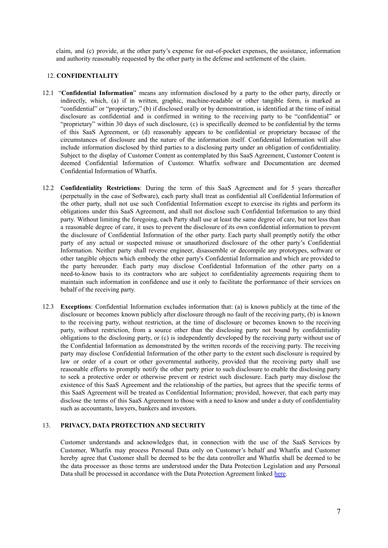claim, and (c) provide, at the other party's expense for out-of-pocket expenses, the assistance, information and authority reasonably requested by the other party in the defense and settlement of the claim.

# 12. **CONFIDENTIALITY**

- 12.1 "**Confidential Information**" means any information disclosed by a party to the other party, directly or indirectly, which, (a) if in written, graphic, machine-readable or other tangible form, is marked as "confidential" or "proprietary," (b) if disclosed orally or by demonstration, is identified at the time of initial disclosure as confidential and is confirmed in writing to the receiving party to be "confidential" or "proprietary" within 30 days of such disclosure, (c) is specifically deemed to be confidential by the terms of this SaaS Agreement, or (d) reasonably appears to be confidential or proprietary because of the circumstances of disclosure and the nature of the information itself. Confidential Information will also include information disclosed by third parties to a disclosing party under an obligation of confidentiality. Subject to the display of Customer Content as contemplated by this SaaS Agreement, Customer Content is deemed Confidential Information of Customer. Whatfix software and Documentation are deemed Confidential Information of Whatfix.
- 12.2 **Confidentiality Restrictions**: During the term of this SaaS Agreement and for 5 years thereafter (perpetually in the case of Software), each party shall treat as confidential all Confidential Information of the other party, shall not use such Confidential Information except to exercise its rights and perform its obligations under this SaaS Agreement, and shall not disclose such Confidential Information to any third party. Without limiting the foregoing, each Party shall use at least the same degree of care, but not less than a reasonable degree of care, it uses to prevent the disclosure of its own confidential information to prevent the disclosure of Confidential Information of the other party. Each party shall promptly notify the other party of any actual or suspected misuse or unauthorized disclosure of the other party's Confidential Information. Neither party shall reverse engineer, disassemble or decompile any prototypes, software or other tangible objects which embody the other party's Confidential Information and which are provided to the party hereunder. Each party may disclose Confidential Information of the other party on a need-to-know basis to its contractors who are subject to confidentiality agreements requiring them to maintain such information in confidence and use it only to facilitate the performance of their services on behalf of the receiving party.
- 12.3 **Exceptions**: Confidential Information excludes information that: (a) is known publicly at the time of the disclosure or becomes known publicly after disclosure through no fault of the receiving party, (b) is known to the receiving party, without restriction, at the time of disclosure or becomes known to the receiving party, without restriction, from a source other than the disclosing party not bound by confidentiality obligations to the disclosing party, or (c) is independently developed by the receiving party without use of the Confidential Information as demonstrated by the written records of the receiving party. The receiving party may disclose Confidential Information of the other party to the extent such disclosure is required by law or order of a court or other governmental authority, provided that the receiving party shall use reasonable efforts to promptly notify the other party prior to such disclosure to enable the disclosing party to seek a protective order or otherwise prevent or restrict such disclosure. Each party may disclose the existence of this SaaS Agreement and the relationship of the parties, but agrees that the specific terms of this SaaS Agreement will be treated as Confidential Information; provided, however, that each party may disclose the terms of this SaaS Agreement to those with a need to know and under a duty of confidentiality such as accountants, lawyers, bankers and investors.

### 13. **PRIVACY, DATA PROTECTION AND SECURITY**

Customer understands and acknowledges that, in connection with the use of the SaaS Services by Customer, Whatfix may process Personal Data only on Customer's behalf and Whatfix and Customer hereby agree that Customer shall be deemed to be the data controller and Whatfix shall be deemed to be the data processor as those terms are understood under the Data Protection Legislation and any Personal Data shall be processed in accordance with the Data Protection Agreement linked [here.](https://info.whatfix.com/legal/Whatfix+-+Data+Processing+Agreement+(Online+Terms)_June2020.pdf)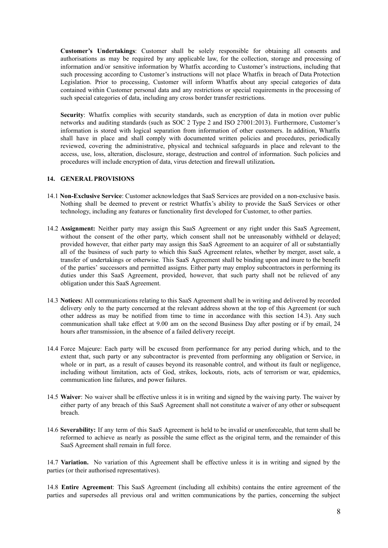**Customer's Undertakings**: Customer shall be solely responsible for obtaining all consents and authorisations as may be required by any applicable law, for the collection, storage and processing of information and/or sensitive information by Whatfix according to Customer's instructions, including that such processing according to Customer's instructions will not place Whatfix in breach of Data Protection Legislation. Prior to processing, Customer will inform Whatfix about any special categories of data contained within Customer personal data and any restrictions or special requirements in the processing of such special categories of data, including any cross border transfer restrictions.

**Security:** Whatfix complies with security standards, such as encryption of data in motion over public networks and auditing standards (such as SOC 2 Type 2 and ISO 27001:2013). Furthermore, Customer's information is stored with logical separation from information of other customers. In addition, Whatfix shall have in place and shall comply with documented written policies and procedures, periodically reviewed, covering the administrative, physical and technical safeguards in place and relevant to the access, use, loss, alteration, disclosure, storage, destruction and control of information. Such policies and procedures will include encryption of data, virus detection and firewall utilization**.**

#### **14. GENERAL PROVISIONS**

- 14.1 **Non-Exclusive Service**: Customer acknowledges that SaaS Services are provided on a non-exclusive basis. Nothing shall be deemed to prevent or restrict Whatfix's ability to provide the SaaS Services or other technology, including any features or functionality first developed for Customer, to other parties.
- 14.2 **Assignment:** Neither party may assign this SaaS Agreement or any right under this SaaS Agreement, without the consent of the other party, which consent shall not be unreasonably withheld or delayed; provided however, that either party may assign this SaaS Agreement to an acquirer of all or substantially all of the business of such party to which this SaaS Agreement relates, whether by merger, asset sale, a transfer of undertakings or otherwise. This SaaS Agreement shall be binding upon and inure to the benefit of the parties' successors and permitted assigns. Either party may employ subcontractors in performing its duties under this SaaS Agreement, provided, however, that such party shall not be relieved of any obligation under this SaaS Agreement.
- 14.3 **Notices:** All communications relating to this SaaS Agreement shall be in writing and delivered by recorded delivery only to the party concerned at the relevant address shown at the top of this Agreement (or such other address as may be notified from time to time in accordance with this section 14.3). Any such communication shall take effect at 9.00 am on the second Business Day after posting or if by email, 24 hours after transmission, in the absence of a failed delivery receipt.
- 14.4 Force Majeure: Each party will be excused from performance for any period during which, and to the extent that, such party or any subcontractor is prevented from performing any obligation or Service, in whole or in part, as a result of causes beyond its reasonable control, and without its fault or negligence, including without limitation, acts of God, strikes, lockouts, riots, acts of terrorism or war, epidemics, communication line failures, and power failures.
- 14.5 **Waiver**: No waiver shall be effective unless it is in writing and signed by the waiving party. The waiver by either party of any breach of this SaaS Agreement shall not constitute a waiver of any other or subsequent breach.
- 14.6 **Severability:** If any term of this SaaS Agreement is held to be invalid or unenforceable, that term shall be reformed to achieve as nearly as possible the same effect as the original term, and the remainder of this SaaS Agreement shall remain in full force.

14.7 **Variation.** No variation of this Agreement shall be effective unless it is in writing and signed by the parties (or their authorised representatives).

14.8 **Entire Agreement**: This SaaS Agreement (including all exhibits) contains the entire agreement of the parties and supersedes all previous oral and written communications by the parties, concerning the subject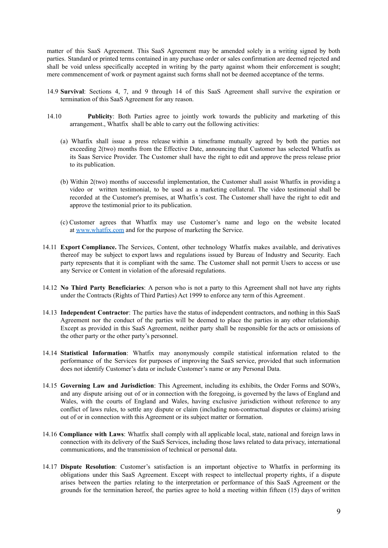matter of this SaaS Agreement. This SaaS Agreement may be amended solely in a writing signed by both parties. Standard or printed terms contained in any purchase order or sales confirmation are deemed rejected and shall be void unless specifically accepted in writing by the party against whom their enforcement is sought; mere commencement of work or payment against such forms shall not be deemed acceptance of the terms.

- 14.9 **Survival**: Sections 4, 7, and 9 through 14 of this SaaS Agreement shall survive the expiration or termination of this SaaS Agreement for any reason.
- 14.10 **Publicity**: Both Parties agree to jointly work towards the publicity and marketing of this arrangement., Whatfix shall be able to carry out the following activities:
	- (a) Whatfix shall issue a press release within a timeframe mutually agreed by both the parties not exceeding 2(two) months from the Effective Date, announcing that Customer has selected Whatfix as its Saas Service Provider. The Customer shall have the right to edit and approve the press release prior to its publication.
	- (b) Within 2(two) months of successful implementation, the Customer shall assist Whatfix in providing a video or written testimonial, to be used as a marketing collateral. The video testimonial shall be recorded at the Customer's premises, at Whatfix's cost. The Customer shall have the right to edit and approve the testimonial prior to its publication.
	- (c) Customer agrees that Whatfix may use Customer's name and logo on the website located at [www.whatfix.com](http://www.whatfix.com/) and for the purpose of marketing the Service.
- 14.11 **Export Compliance.** The Services, Content, other technology Whatfix makes available, and derivatives thereof may be subject to export laws and regulations issued by Bureau of Industry and Security. Each party represents that it is compliant with the same. The Customer shall not permit Users to access or use any Service or Content in violation of the aforesaid regulations.
- 14.12 **No Third Party Beneficiaries**: A person who is not a party to this Agreement shall not have any rights under the Contracts (Rights of Third Parties) Act 1999 to enforce any term of this Agreement.
- 14.13 **Independent Contractor**: The parties have the status of independent contractors, and nothing in this SaaS Agreement nor the conduct of the parties will be deemed to place the parties in any other relationship. Except as provided in this SaaS Agreement, neither party shall be responsible for the acts or omissions of the other party or the other party's personnel.
- 14.14 **Statistical Information**: Whatfix may anonymously compile statistical information related to the performance of the Services for purposes of improving the SaaS service, provided that such information does not identify Customer's data or include Customer's name or any Personal Data.
- 14.15 **Governing Law and Jurisdiction**: This Agreement, including its exhibits, the Order Forms and SOWs, and any dispute arising out of or in connection with the foregoing, is governed by the laws of England and Wales, with the courts of England and Wales, having exclusive jurisdiction without reference to any conflict of laws rules, to settle any dispute or claim (including non-contractual disputes or claims) arising out of or in connection with this Agreement or its subject matter or formation.
- 14.16 **Compliance with Laws**: Whatfix shall comply with all applicable local, state, national and foreign laws in connection with its delivery of the SaaS Services, including those laws related to data privacy, international communications, and the transmission of technical or personal data.
- 14.17 **Dispute Resolution**: Customer's satisfaction is an important objective to Whatfix in performing its obligations under this SaaS Agreement. Except with respect to intellectual property rights, if a dispute arises between the parties relating to the interpretation or performance of this SaaS Agreement or the grounds for the termination hereof, the parties agree to hold a meeting within fifteen (15) days of written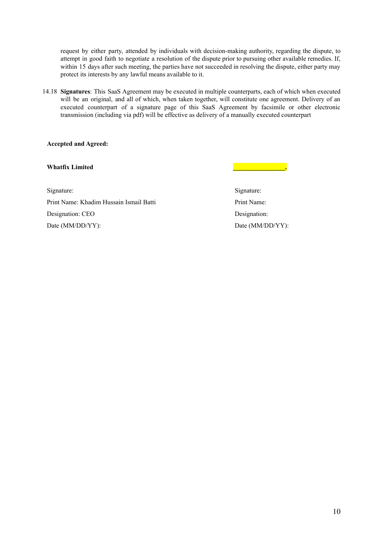request by either party, attended by individuals with decision-making authority, regarding the dispute, to attempt in good faith to negotiate a resolution of the dispute prior to pursuing other available remedies. If, within 15 days after such meeting, the parties have not succeeded in resolving the dispute, either party may protect its interests by any lawful means available to it.

14.18 **Signatures**: This SaaS Agreement may be executed in multiple counterparts, each of which when executed will be an original, and all of which, when taken together, will constitute one agreement. Delivery of an executed counterpart of a signature page of this SaaS Agreement by facsimile or other electronic transmission (including via pdf) will be effective as delivery of a manually executed counterpart

**Accepted and Agreed:**

**Whatfix Limited**

Signature: Print Name: Khadim Hussain Ismail Batti Designation: CEO Date (MM/DD/YY):

Signature: Print Name: Designation: Date (MM/DD/YY):

**\_\_\_\_\_\_\_\_\_\_\_\_\_\_\_\_.**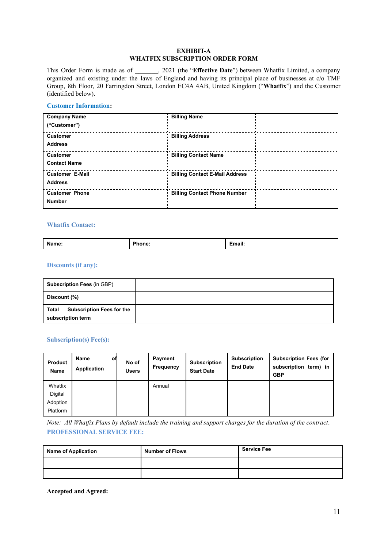## **EXHIBIT-A WHATFIX SUBSCRIPTION ORDER FORM**

This Order Form is made as of \_\_\_\_\_\_\_, 2021 (the "**Effective Date**") between Whatfix Limited, a company organized and existing under the laws of England and having its principal place of businesses at c/o TMF Group, 8th Floor, 20 Farringdon Street, London EC4A 4AB, United Kingdom ("**Whatfix**") and the Customer (identified below).

## **Customer Information:**

| <b>Company Name</b><br>("Customer")      | <b>Billing Name</b>                   |  |
|------------------------------------------|---------------------------------------|--|
| <b>Customer</b><br><b>Address</b>        | <b>Billing Address</b>                |  |
| <b>Customer</b><br><b>Contact Name</b>   | <b>Billing Contact Name</b>           |  |
| <b>Customer E-Mail</b><br><b>Address</b> | <b>Billing Contact E-Mail Address</b> |  |
| <b>Customer Phone</b><br><b>Number</b>   | <b>Billing Contact Phone Number</b>   |  |

# **Whatfix Contact:**

| 4 I I<br> | <b>Name</b> |  | - -<br>---- |
|-----------|-------------|--|-------------|
|-----------|-------------|--|-------------|

# **Discounts (if any):**

| <b>Subscription Fees (in GBP)</b>                              |  |
|----------------------------------------------------------------|--|
| Discount (%)                                                   |  |
| <b>Subscription Fees for the</b><br>Total<br>subscription term |  |

# **Subscription(s) Fee(s):**

| <b>Product</b><br>Name | Name<br>Application | оfі | No of<br><b>Users</b> | Payment<br>Frequency | <b>Subscription</b><br><b>Start Date</b> | <b>Subscription</b><br><b>End Date</b> | <b>Subscription Fees (for</b><br>subscription term) in<br><b>GBP</b> |
|------------------------|---------------------|-----|-----------------------|----------------------|------------------------------------------|----------------------------------------|----------------------------------------------------------------------|
| Whatfix                |                     |     |                       | Annual               |                                          |                                        |                                                                      |
| Digital                |                     |     |                       |                      |                                          |                                        |                                                                      |
| Adoption               |                     |     |                       |                      |                                          |                                        |                                                                      |
| Platform               |                     |     |                       |                      |                                          |                                        |                                                                      |

Note: All Whatfix Plans by default include the training and support charges for the duration of the contract. **PROFESSIONAL SERVICE FEE:**

| <b>Name of Application</b> | <b>Number of Flows</b> | <b>Service Fee</b> |
|----------------------------|------------------------|--------------------|
|                            |                        |                    |
|                            |                        |                    |

**Accepted and Agreed:**